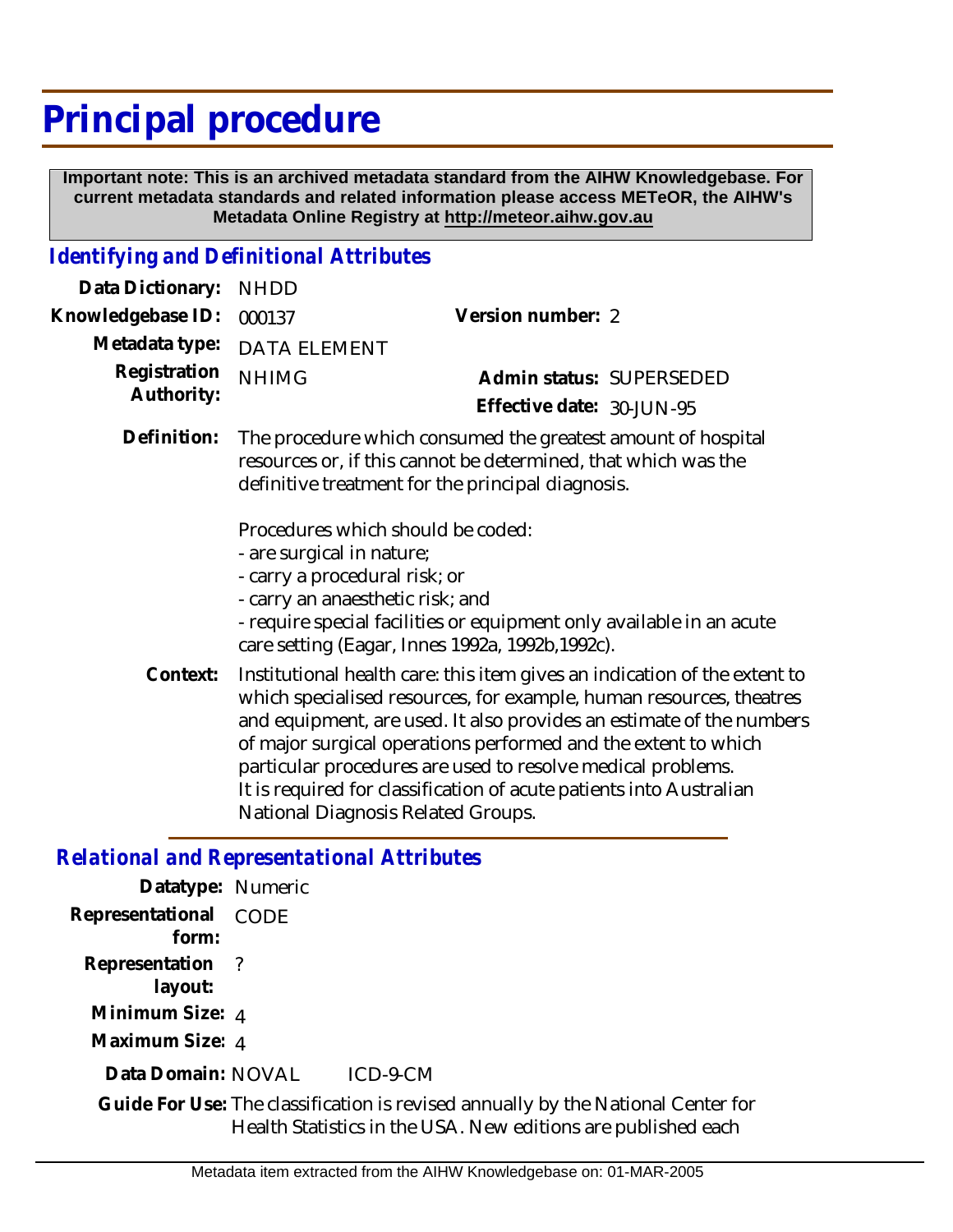## **Principal procedure**

 **Important note: This is an archived metadata standard from the AIHW Knowledgebase. For current metadata standards and related information please access METeOR, the AIHW's Metadata Online Registry at http://meteor.aihw.gov.au**

## *Identifying and Definitional Attributes*

| Data Dictionary:           | <b>NHDD</b>                                                                                                                                                                         |                                                                                                                          |
|----------------------------|-------------------------------------------------------------------------------------------------------------------------------------------------------------------------------------|--------------------------------------------------------------------------------------------------------------------------|
| Knowledgebase ID:          | 000137                                                                                                                                                                              | Version number: 2                                                                                                        |
| Metadata type:             | <b>DATA ELEMENT</b>                                                                                                                                                                 |                                                                                                                          |
| Registration<br>Authority: | <b>NHIMG</b>                                                                                                                                                                        | Admin status: SUPERSEDED                                                                                                 |
|                            |                                                                                                                                                                                     | Effective date: 30-JUN-95                                                                                                |
| Definition:                | The procedure which consumed the greatest amount of hospital<br>resources or, if this cannot be determined, that which was the<br>definitive treatment for the principal diagnosis. |                                                                                                                          |
|                            | Procedures which should be coded:<br>- are surgical in nature;<br>- carry a procedural risk; or<br>- carry an anaesthetic risk; and                                                 | - require special facilities or equipment only available in an acute<br>care setting (Eagar, Innes 1992a, 1992b, 1992c). |

Institutional health care: this item gives an indication of the extent to which specialised resources, for example, human resources, theatres and equipment, are used. It also provides an estimate of the numbers of major surgical operations performed and the extent to which particular procedures are used to resolve medical problems. It is required for classification of acute patients into Australian National Diagnosis Related Groups. **Context:**

## *Relational and Representational Attributes*

| Datatype: Numeric              |                                                                                                                                                   |
|--------------------------------|---------------------------------------------------------------------------------------------------------------------------------------------------|
| Representational CODE<br>form: |                                                                                                                                                   |
| Representation ?<br>layout:    |                                                                                                                                                   |
| Minimum Size: 4                |                                                                                                                                                   |
| Maximum Size: 4                |                                                                                                                                                   |
| Data Domain: NOVAL             | $ICD-9-CM$                                                                                                                                        |
|                                | Guide For Use: The classification is revised annually by the National Center for<br>Health Statistics in the USA. New editions are published each |